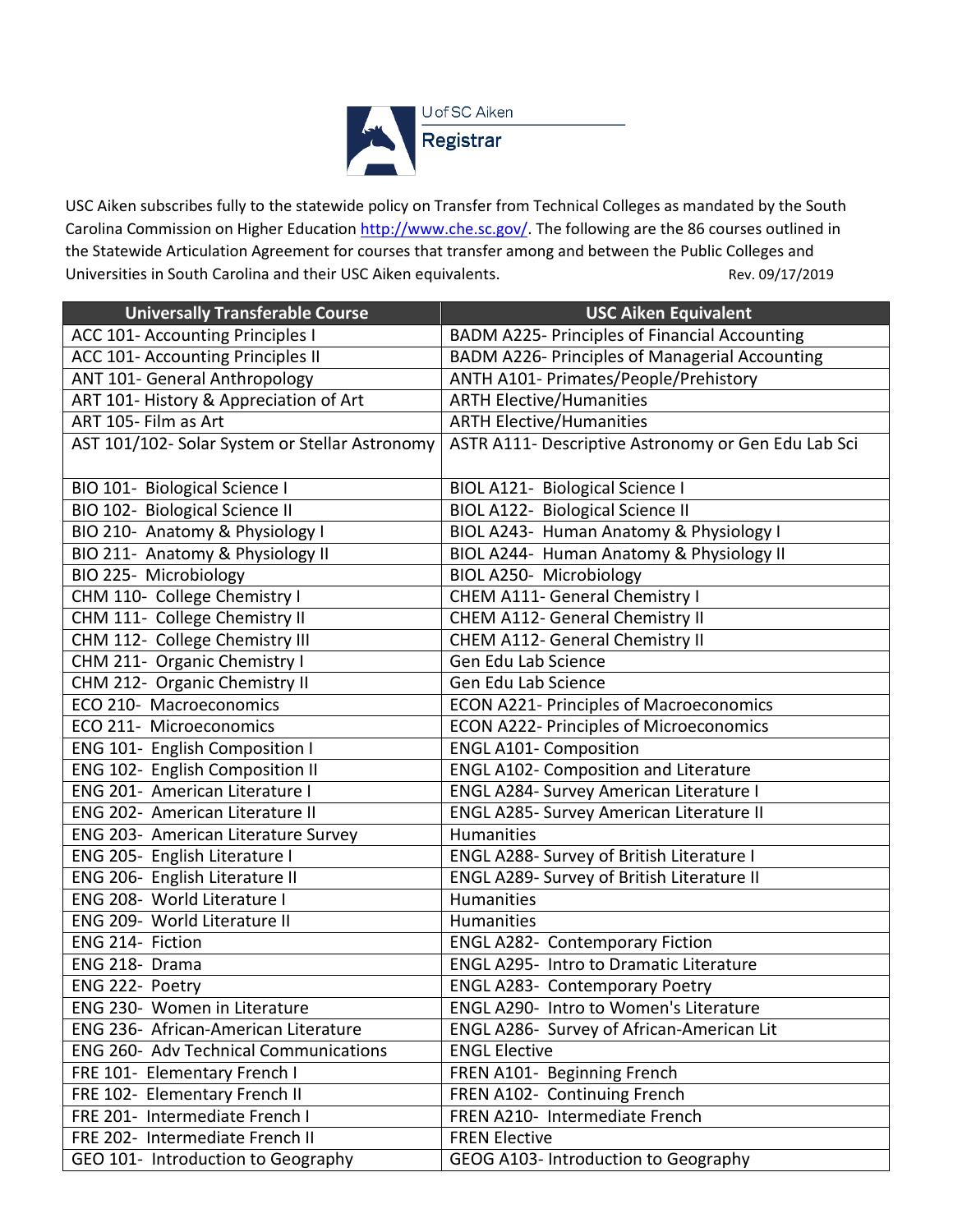

USC Aiken subscribes fully to the statewide policy on Transfer from Technical Colleges as mandated by the South Carolina Commission on Higher Educatio[n http://www.che.sc.gov/.](http://www.che.sc.gov/) The following are the 86 courses outlined in the Statewide Articulation Agreement for courses that transfer among and between the Public Colleges and Universities in South Carolina and their USC Aiken equivalents. The rev. 09/17/2019 Rev. 09/17/2019

| <b>Universally Transferable Course</b>         | <b>USC Aiken Equivalent</b>                           |
|------------------------------------------------|-------------------------------------------------------|
| ACC 101- Accounting Principles I               | BADM A225- Principles of Financial Accounting         |
| ACC 101- Accounting Principles II              | <b>BADM A226- Principles of Managerial Accounting</b> |
| ANT 101- General Anthropology                  | ANTH A101- Primates/People/Prehistory                 |
| ART 101- History & Appreciation of Art         | <b>ARTH Elective/Humanities</b>                       |
| ART 105- Film as Art                           | <b>ARTH Elective/Humanities</b>                       |
| AST 101/102- Solar System or Stellar Astronomy | ASTR A111- Descriptive Astronomy or Gen Edu Lab Sci   |
| BIO 101- Biological Science I                  | BIOL A121- Biological Science I                       |
| BIO 102- Biological Science II                 | BIOL A122- Biological Science II                      |
| BIO 210- Anatomy & Physiology I                | BIOL A243- Human Anatomy & Physiology I               |
| BIO 211- Anatomy & Physiology II               | BIOL A244- Human Anatomy & Physiology II              |
| BIO 225- Microbiology                          | BIOL A250- Microbiology                               |
| CHM 110- College Chemistry I                   | CHEM A111- General Chemistry I                        |
| CHM 111- College Chemistry II                  | CHEM A112- General Chemistry II                       |
| CHM 112- College Chemistry III                 | CHEM A112- General Chemistry II                       |
| CHM 211- Organic Chemistry I                   | Gen Edu Lab Science                                   |
| CHM 212- Organic Chemistry II                  | Gen Edu Lab Science                                   |
| ECO 210- Macroeconomics                        | <b>ECON A221- Principles of Macroeconomics</b>        |
| ECO 211- Microeconomics                        | <b>ECON A222- Principles of Microeconomics</b>        |
| ENG 101- English Composition I                 | <b>ENGL A101- Composition</b>                         |
| ENG 102- English Composition II                | <b>ENGL A102- Composition and Literature</b>          |
| ENG 201- American Literature I                 | ENGL A284- Survey American Literature I               |
| ENG 202- American Literature II                | <b>ENGL A285- Survey American Literature II</b>       |
| ENG 203- American Literature Survey            | <b>Humanities</b>                                     |
| ENG 205- English Literature I                  | ENGL A288- Survey of British Literature I             |
| ENG 206- English Literature II                 | <b>ENGL A289- Survey of British Literature II</b>     |
| ENG 208- World Literature I                    | <b>Humanities</b>                                     |
| ENG 209- World Literature II                   | Humanities                                            |
| ENG 214- Fiction                               | <b>ENGL A282- Contemporary Fiction</b>                |
| ENG 218- Drama                                 | <b>ENGL A295- Intro to Dramatic Literature</b>        |
| ENG 222- Poetry                                | <b>ENGL A283- Contemporary Poetry</b>                 |
| ENG 230- Women in Literature                   | <b>ENGL A290- Intro to Women's Literature</b>         |
| ENG 236- African-American Literature           | ENGL A286- Survey of African-American Lit             |
| <b>ENG 260- Adv Technical Communications</b>   | <b>ENGL Elective</b>                                  |
| FRE 101- Elementary French I                   | FREN A101- Beginning French                           |
| FRE 102- Elementary French II                  | FREN A102- Continuing French                          |
| FRE 201- Intermediate French I                 | FREN A210- Intermediate French                        |
| FRE 202- Intermediate French II                | <b>FREN Elective</b>                                  |
| GEO 101- Introduction to Geography             | GEOG A103- Introduction to Geography                  |